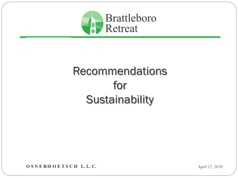

# Recommendationsfor**Sustainability**

OSNER/DOETSCH L.L.C.

April 17, 2020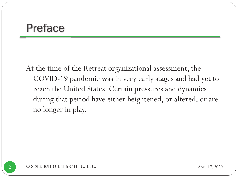#### Preface

At the time of the Retreat organizational assessment, the COVID-19 pandemic was in very early stages and had yet to reach the United States. Certain pressures and dynamics during that period have either heightened, or altered, or are no longer in play.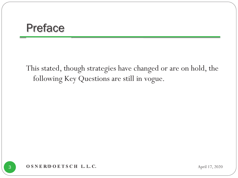#### Preface

This stated, though strategies have changed or are on hold, the following Key Questions are still in vogue.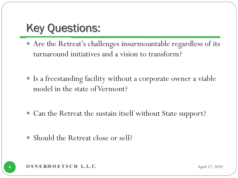- y Are the Retreat's challenges insurmountable regardless of its turnaround initiatives and a vision to transform?
- y Is a freestanding facility without a corporate owner a viable model in the state of Vermont?
- Can the Retreat the sustain itself without State support?
- $\bullet$ Should the Retreat close or sell?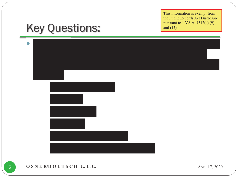## Key Questions:



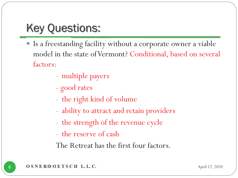- y Is a freestanding facility without a corporate owner a viable model in the state of Vermont? Conditional, based on several factors:
	- multiple payers
	- good rates
	- the right kind of volume
	- ability to attract and retain providers<br>- the strength of the revenue cycle
	- the strength of the revenue cycle
	- the reserve of cash

The Retreat has the first four factors.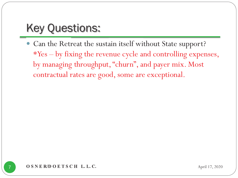• Can the Retreat the sustain itself without State support? \*Yes – by fixing the revenue cycle and controlling expenses, by managing throughput, "churn", and payer mix. Most contractual rates are good, some are exceptional.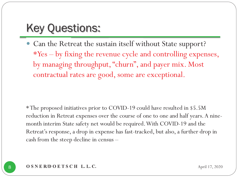• Can the Retreat the sustain itself without State support? \*Yes – by fixing the revenue cycle and controlling expenses, by managing throughput, "churn", and payer mix. Most contractual rates are good, some are exceptional.

\* The proposed initiatives prior to COVID-19 could have resulted in \$5.5M reduction in Retreat expenses over the course of one to one and half years. A ninemonth interim State safety net would be required. With COVID-19 and the Retreat's response, a drop in expense has fast-tracked, but also, a further drop in cash from the steep decline in census –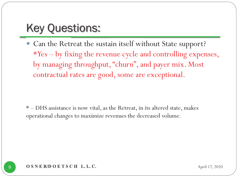• Can the Retreat the sustain itself without State support? \*Yes – by fixing the revenue cycle and controlling expenses, by managing throughput, "churn", and payer mix. Most contractual rates are good, some are exceptional.

\* – DHS assistance is now vital, as the Retreat, in its altered state, makes operational changes to maximize revenues the decreased volume.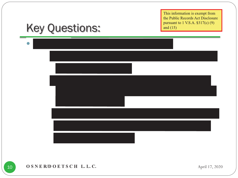## Key Questions:



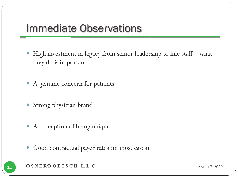#### Immediate Observations

- $\bullet$  High investment in legacy from senior leadership to line staff – what they do is important
- A genuine concern for patients
- $\bullet$ Strong physician brand
- A perception of being unique
- $\bullet$ Good contractual payer rates (in most cases)
- **OSNER/DOETSCH L.L.C** April 17, 2020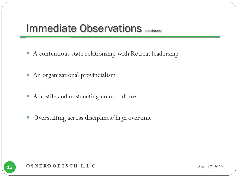#### **Immediate Observations continued**

- $\bullet$ A contentious state relationship with Retreat leadership
- An organizational provincialism
- $\bullet$ A hostile and obstructing union culture
- $\bullet$ Overstaffing across disciplines/high overtime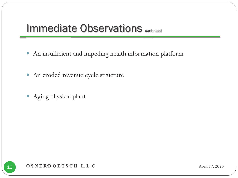#### **Immediate Observations continued**

- $\bullet$ An insufficient and impeding health information platform
- An eroded revenue cycle structure
- $\bullet$ Aging physical plant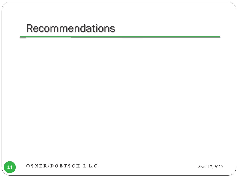**OSNER/DOETSCH L.L.C.** April 17, 2020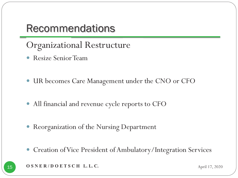Organizational Restructure

- $\bullet$ Resize Senior Team
- $\bullet$ UR becomes Care Management under the CNO or CFO
- y All financial and revenue cycle reports to CFO
- y Reorganization of the Nursing Department
- $\bullet$ Creation of Vice President of Ambulatory/Integration Services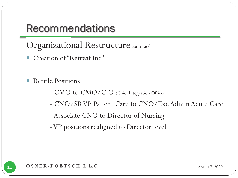Organizational Restructure continued

- $\bullet$ Creation of "Retreat Inc"
- $\bullet$  Retitle Positions
	- -CMO to CMO/CIO (Chief Integration Officer)
	- -CNO/SR VP Patient Care to CNO/Exe Admin Acute Care
	- -Associate CNO to Director of Nursing
	- -VP positions realigned to Director level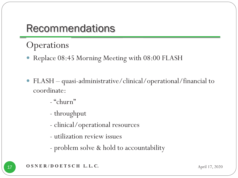#### **Operations**

- Replace 08:45 Morning Meeting with 08:00 FLASH
- $\bullet$  FLASH – quasi-administrative/clinical/operational/financial to coordinate:
	- -"churn"<br>--
	- throughput
	- clinical/operational resources
	- utilization review issues
	- problem solve & hold to accountability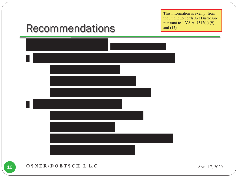#### Recommendations

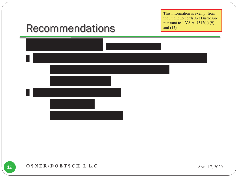#### Recommendations

|    |                        | <u> 1990 - Jan Barat, politik politik (</u> |  |
|----|------------------------|---------------------------------------------|--|
| 11 | <b>Service Service</b> |                                             |  |
|    |                        |                                             |  |
|    |                        |                                             |  |
|    |                        |                                             |  |
|    |                        |                                             |  |
|    |                        |                                             |  |

OSNER/DOETSCH L.L.C. April 17, 2020

19

f,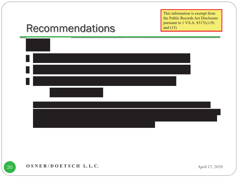#### Recommendations

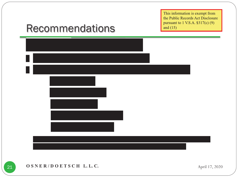#### Recommendations

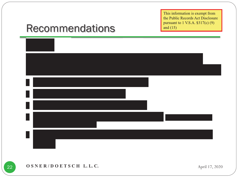#### Recommendations

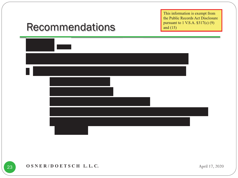### Recommendations



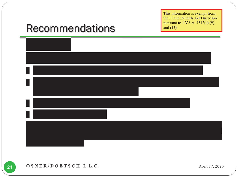#### Recommendations

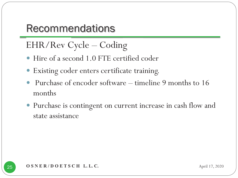### EHR/Rev Cycle – Coding

- y Hire of a second 1.0 FTE certified coder
- $\bullet$ Existing coder enters certificate training.
- $\bullet$  Purchase of encoder software – timeline 9 months to 16 months
- y Purchase is contingent on current increase in cash flow and state assistance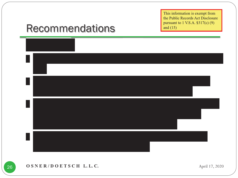#### Recommendations